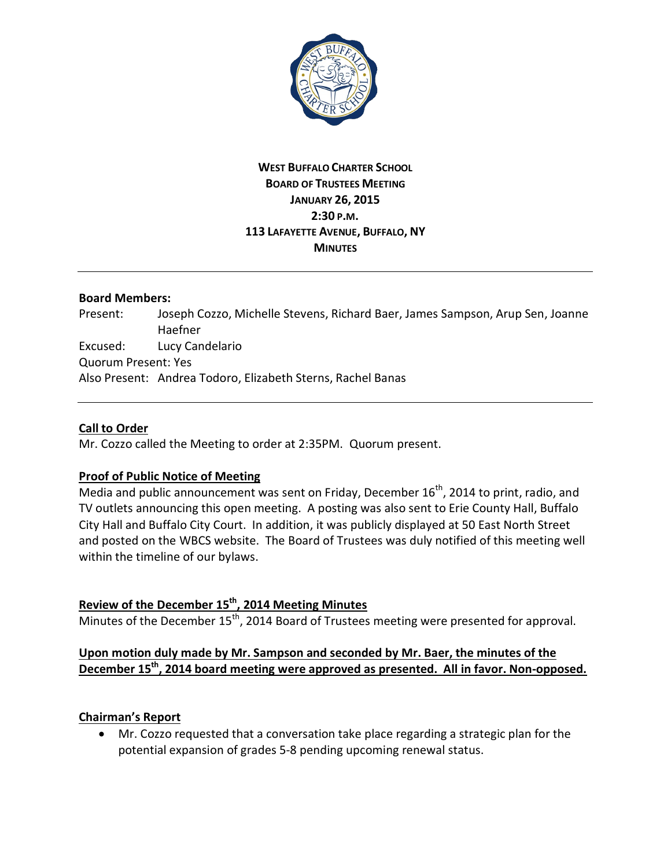

## **WEST BUFFALO CHARTER SCHOOL BOARD OF TRUSTEES MEETING JANUARY 26, 2015 2:30 P.M. 113 LAFAYETTE AVENUE, BUFFALO, NY MINUTES**

### **Board Members:**

Present: Joseph Cozzo, Michelle Stevens, Richard Baer, James Sampson, Arup Sen, Joanne Haefner Excused: Lucy Candelario Quorum Present: Yes Also Present: Andrea Todoro, Elizabeth Sterns, Rachel Banas

### **Call to Order**

Mr. Cozzo called the Meeting to order at 2:35PM. Quorum present.

## **Proof of Public Notice of Meeting**

Media and public announcement was sent on Friday, December  $16<sup>th</sup>$ , 2014 to print, radio, and TV outlets announcing this open meeting. A posting was also sent to Erie County Hall, Buffalo City Hall and Buffalo City Court. In addition, it was publicly displayed at 50 East North Street and posted on the WBCS website. The Board of Trustees was duly notified of this meeting well within the timeline of our bylaws.

# **Review of the December 15th, 2014 Meeting Minutes**

Minutes of the December  $15<sup>th</sup>$ , 2014 Board of Trustees meeting were presented for approval.

## **Upon motion duly made by Mr. Sampson and seconded by Mr. Baer, the minutes of the December 15th, 2014 board meeting were approved as presented. All in favor. Non-opposed.**

## **Chairman's Report**

· Mr. Cozzo requested that a conversation take place regarding a strategic plan for the potential expansion of grades 5-8 pending upcoming renewal status.